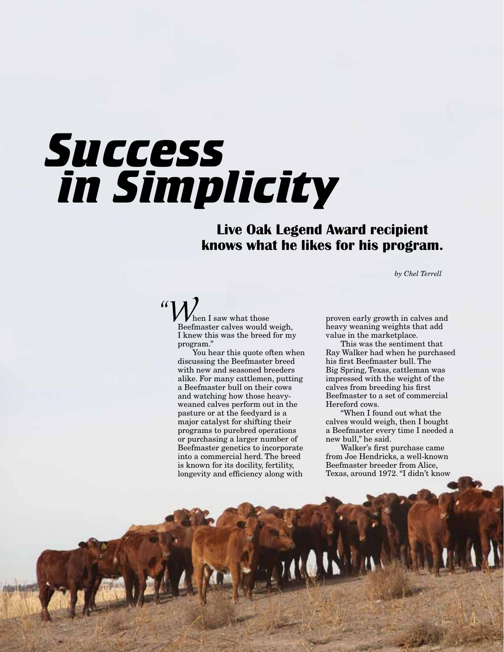## *Success in Simplicity*

## **Live Oak Legend Award recipient knows what he likes for his program.**

*by Chel Terrell*

*"W*hen I saw what those Beefmaster calves would weigh, I knew this was the breed for my program."

You hear this quote often when discussing the Beefmaster breed with new and seasoned breeders alike. For many cattlemen, putting a Beefmaster bull on their cows and watching how those heavyweaned calves perform out in the pasture or at the feedyard is a major catalyst for shifting their programs to purebred operations or purchasing a larger number of Beefmaster genetics to incorporate into a commercial herd. The breed is known for its docility, fertility, longevity and efficiency along with

proven early growth in calves and heavy weaning weights that add value in the marketplace.

This was the sentiment that Ray Walker had when he purchased his first Beefmaster bull. The Big Spring, Texas, cattleman was impressed with the weight of the calves from breeding his first Beefmaster to a set of commercial Hereford cows.

"When I found out what the calves would weigh, then I bought a Beefmaster every time I needed a new bull," he said.

Walker's first purchase came from Joe Hendricks, a well-known Beefmaster breeder from Alice, Texas, around 1972. "I didn't know